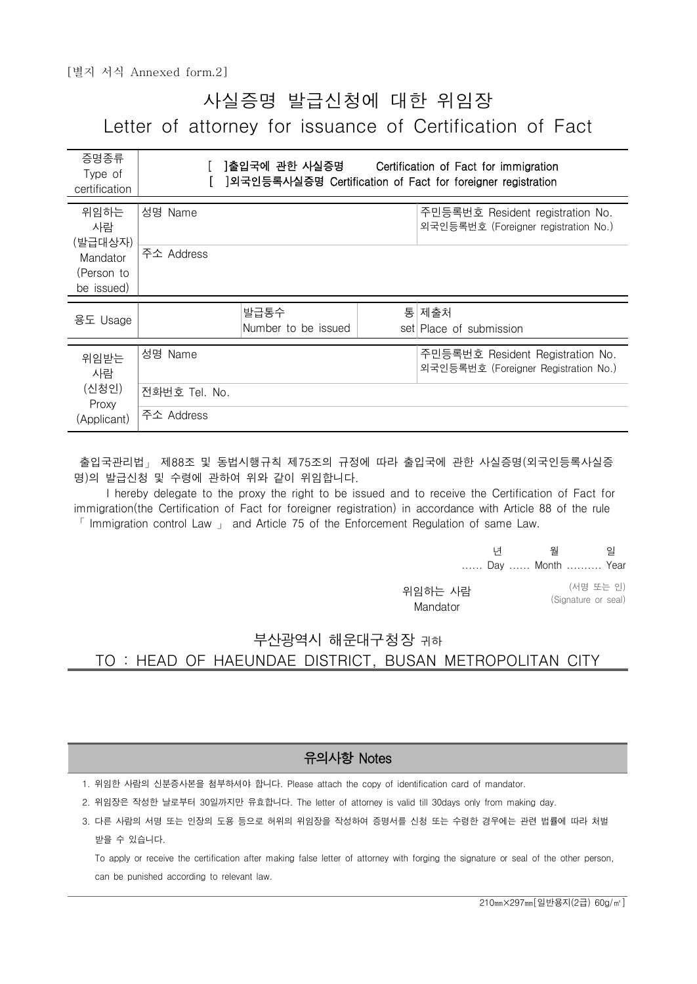# 사실증명 발급신청에 대한 위임장 Letter of attorney for issuance of Certification of Fact

| 증명종류<br>Type of<br>certification                |                       | ]출입국에 관한 사실증명               |   | Certification of Fact for immigration<br>]외국인등록사실증명 Certification of Fact for foreigner registration |  |
|-------------------------------------------------|-----------------------|-----------------------------|---|------------------------------------------------------------------------------------------------------|--|
| 위임하는<br>사람<br>(발급대상자)<br>Mandator<br>(Person to | 성명 Name<br>주소 Address |                             |   | 주민등록번호 Resident registration No.<br>외국인등록번호 (Foreigner registration No.)                             |  |
| be issued)                                      |                       |                             |   |                                                                                                      |  |
| 용도 Usage                                        |                       | 발급통수<br>Number to be issued | 통 | 제출처<br>set Place of submission                                                                       |  |
| 위임받는<br>사람                                      | 성명 Name               |                             |   | 주민등록번호 Resident Registration No.<br>외국인등록번호 (Foreigner Registration No.)                             |  |
| (신청인)<br>Proxy                                  | 전화번호 Tel. No.         |                             |   |                                                                                                      |  |
| (Applicant)                                     | 주소 Address            |                             |   |                                                                                                      |  |

출입국관리법」 제88조 및 동법시행규칙 제75조의 규정에 따라 출입국에 관한 사실증명(외국인등록사실증 명)의 발급신청 및 수령에 관하여 위와 같이 위임합니다.

 I hereby delegate to the proxy the right to be issued and to receive the Certification of Fact for immigration(the Certification of Fact for foreigner registration) in accordance with Article 88 of the rule  $\lceil$  Immigration control Law  $\lceil$  and Article 75 of the Enforcement Regulation of same Law.

|            | 원 | 일                |  |
|------------|---|------------------|--|
|            |   | Day  Month  Year |  |
| $L \cup L$ |   | (서명 또는 인)        |  |

 위임하는 사람 Mandator

(서명 또는 인) (Signature or seal)

#### 부산광역시 해운대구청장 귀하 TO : HEAD OF HAEUNDAE DISTRICT, BUSAN METROPOLITAN CITY

#### 유의사항 Notes

1. 위임한 사람의 신분증사본을 첨부하셔야 합니다. Please attach the copy of identification card of mandator.

2. 위임장은 작성한 날로부터 30일까지만 유효합니다. The letter of attorney is valid till 30days only from making day.

 3. 다른 사람의 서명 또는 인장의 도용 등으로 허위의 위임장을 작성하여 증명서를 신청 또는 수령한 경우에는 관련 법률에 따라 처벌 받을 수 있습니다.

 To apply or receive the certification after making false letter of attorney with forging the signature or seal of the other person, can be punished according to relevant law.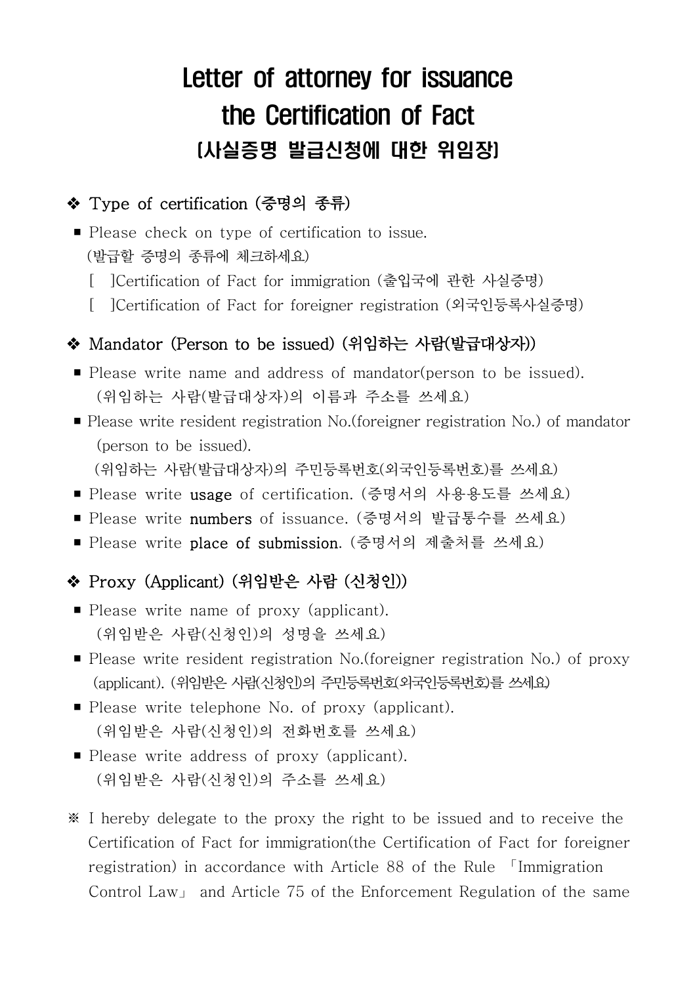# Letter of attorney for issuance the Certification of Fact (사실증명 발급신청에 대한 위임장)

## ◆ Type of certification (증명의 종류)

- Please check on type of certification to issue.<br>(발급할 증명의 종류에 체크하세요)
	- [ ]Certification of Fact for immigration (출입국에 관한 사실증명)
	- [ ]Certification of Fact for foreigner registration (외국인등록사실증명)

#### ◆ Mandator (Person to be issued) (위임하는 사람(발급대상자))

- Please write name and address of mandator(person to be issued).<br>(위임하는 사람(발급대상자)의 이름과 주소를 쓰세요)
- Please write resident registration No. (foreigner registration No.) of mandator (person to be issued).<br>(위임하는 사람(발급대상자)의 주민등록번호(외국인등록번호)를 쓰세요)

- Please write usage of certification. (증명서의 사용용도를 쓰세요)
- Please write numbers of issuance. (증명서의 발급통수를 쓰세요)
- Please write place of submission. (증명서의 제출처를 쓰세요)

### v Proxy (Applicant) (위임받은 사람 (신청인))

- Please write name of proxy (applicant). (위임받은 사람(신청인)의 성명을 쓰세요)
- Please write resident registration No.(foreigner registration No.) of proxy (applicant). (위임받은 사람(신청인)의 주민등록번호(외국인등록번호)를 쓰세요)
- Please write telephone No. of proxy (applicant). (위임받은 사람(신청인)의 전화번호를 쓰세요)
- Please write address of proxy (applicant). (위임받은 사람(신청인)의 주소를 쓰세요)
- ※ I hereby delegate to the proxy the right to be issued and to receive the Certification of Fact for immigration(the Certification of Fact for foreigner registration) in accordance with Article 88 of the Rule 「Immigration Control Law」 and Article 75 of the Enforcement Regulation of the same